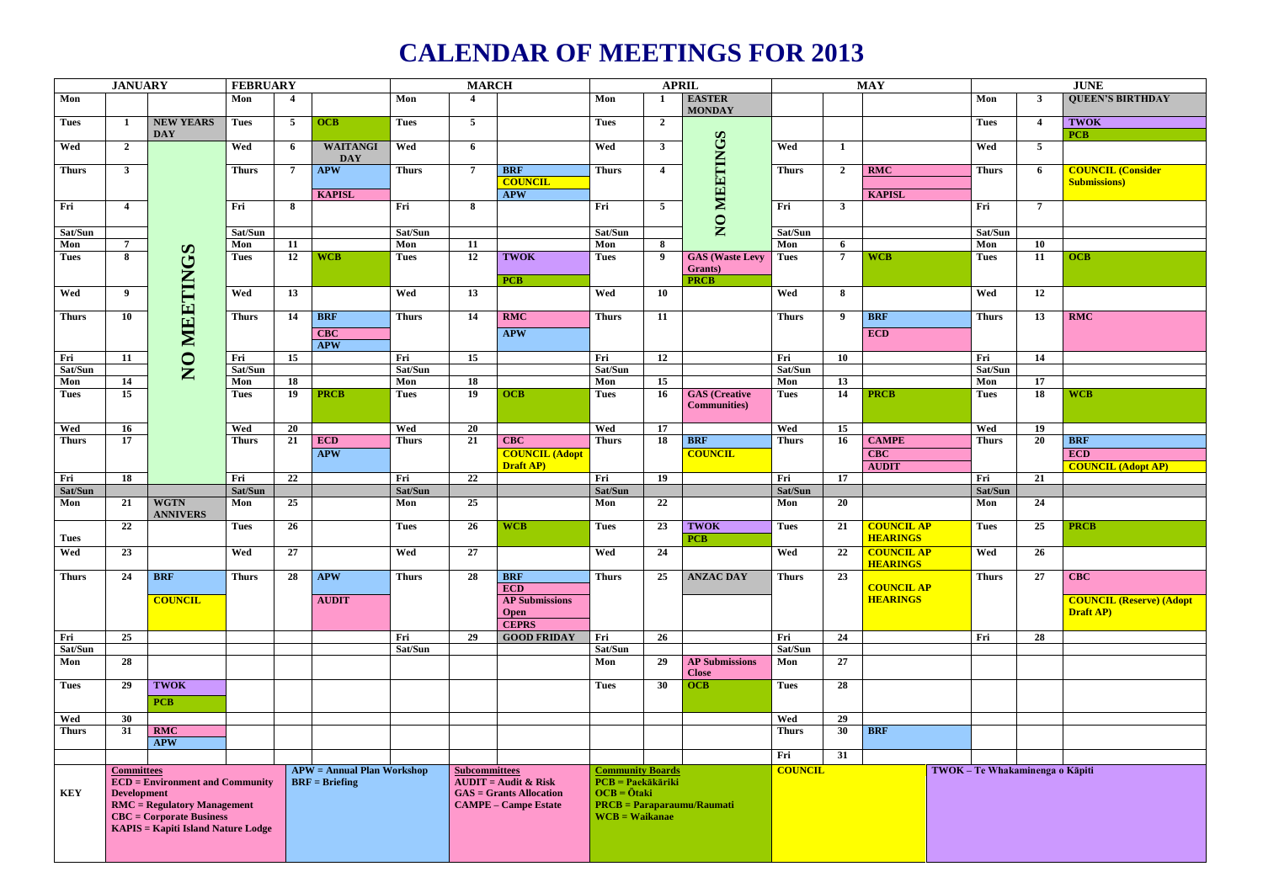## **CALENDAR OF MEETINGS FOR 2013**

|              | <b>JANUARY</b>                                         |                                           | <b>FEBRUARY</b>                                                                                       |    |                 | <b>MARCH</b>                                   |                         |                             | <b>APRIL</b>                                              |                                                       |                        |                |                | <b>MAY</b>                           | <b>JUNE</b>                     |                |                                 |  |  |
|--------------|--------------------------------------------------------|-------------------------------------------|-------------------------------------------------------------------------------------------------------|----|-----------------|------------------------------------------------|-------------------------|-----------------------------|-----------------------------------------------------------|-------------------------------------------------------|------------------------|----------------|----------------|--------------------------------------|---------------------------------|----------------|---------------------------------|--|--|
| Mon          |                                                        |                                           | Mon                                                                                                   |    |                 | Mon                                            | $\overline{\mathbf{4}}$ |                             | Mon                                                       |                                                       | <b>EASTER</b>          |                |                |                                      | Mon                             | $\mathbf{3}$   | <b>QUEEN'S BIRTHDAY</b>         |  |  |
|              |                                                        |                                           |                                                                                                       |    |                 |                                                |                         |                             |                                                           |                                                       | <b>MONDAY</b>          |                |                |                                      |                                 |                |                                 |  |  |
| <b>Tues</b>  | 1                                                      | NEW YEARS                                 | <b>Tues</b>                                                                                           | 5  | <b>OCB</b>      | <b>Tues</b>                                    | $5^{\circ}$             |                             | <b>Tues</b>                                               | $\overline{2}$                                        |                        |                |                |                                      | <b>Tues</b>                     | $\overline{4}$ | <b>TWOK</b>                     |  |  |
|              |                                                        | <b>DAY</b>                                |                                                                                                       |    |                 |                                                |                         |                             |                                                           |                                                       |                        |                |                |                                      |                                 |                | <b>PCB</b>                      |  |  |
| Wed          | $\overline{2}$                                         |                                           | Wed                                                                                                   | 6  | <b>WAITANGI</b> | Wed                                            | 6                       |                             | Wed                                                       | $\mathbf{3}$                                          | MEETINGS               | Wed            | $\mathbf 1$    |                                      | Wed                             | 5 <sub>5</sub> |                                 |  |  |
|              |                                                        |                                           |                                                                                                       |    | <b>DAY</b>      |                                                |                         |                             |                                                           |                                                       |                        |                |                |                                      |                                 |                |                                 |  |  |
| <b>Thurs</b> | $\mathbf{3}$                                           |                                           | <b>Thurs</b>                                                                                          | -7 | <b>APW</b>      | <b>Thurs</b>                                   | $\overline{7}$          | <b>BRF</b>                  | <b>Thurs</b>                                              | $\overline{4}$                                        |                        | <b>Thurs</b>   | $\mathbf{2}$   | RMC                                  | <b>Thurs</b>                    | 6              | <b>COUNCIL (Consider</b>        |  |  |
|              |                                                        |                                           |                                                                                                       |    |                 |                                                |                         | <b>COUNCIL</b>              |                                                           |                                                       |                        |                |                |                                      |                                 |                | <b>Submissions</b> )            |  |  |
|              |                                                        |                                           |                                                                                                       |    | <b>KAPISL</b>   |                                                |                         | <b>APW</b>                  |                                                           |                                                       |                        |                |                | <b>KAPISL</b>                        |                                 |                |                                 |  |  |
| Fri          | $\overline{4}$                                         |                                           | Fri                                                                                                   | -8 |                 | Fri                                            | 8                       |                             | Fri                                                       | $\overline{5}$                                        |                        | Fri            | $\mathbf{3}$   |                                      | Fri                             | $\overline{7}$ |                                 |  |  |
|              |                                                        |                                           |                                                                                                       |    |                 |                                                |                         |                             |                                                           |                                                       | $\overline{Q}$         |                |                |                                      |                                 |                |                                 |  |  |
| Sat/Sun      |                                                        |                                           | Sat/Sun                                                                                               |    |                 | Sat/Sun                                        |                         |                             | Sat/Sun                                                   |                                                       |                        | Sat/Sun        |                |                                      | Sat/Sun                         |                |                                 |  |  |
| Mon          | $7\phantom{.0}$                                        |                                           | Mon                                                                                                   | 11 | <b>WCB</b>      | Mon                                            | 11                      | <b>TWOK</b>                 | Mon                                                       | 8<br>- 9                                              | <b>GAS</b> (Waste Levy | Mon            | 6              | <b>WCB</b>                           | Mon<br><b>Tues</b>              | 10             | <b>OCB</b>                      |  |  |
| <b>Tues</b>  | 8                                                      |                                           | <b>Tues</b>                                                                                           | 12 |                 | <b>Tues</b>                                    | 12                      |                             | <b>Tues</b>                                               |                                                       | <b>Grants</b> )        | <b>Tues</b>    | $\overline{7}$ |                                      |                                 | 11             |                                 |  |  |
|              |                                                        |                                           |                                                                                                       |    |                 |                                                |                         | <b>PCB</b>                  |                                                           |                                                       | <b>PRCB</b>            |                |                |                                      |                                 |                |                                 |  |  |
| Wed          | 9                                                      |                                           | Wed                                                                                                   | 13 |                 | Wed                                            | 13                      |                             | Wed                                                       | 10                                                    |                        | Wed            | 8              |                                      | Wed                             | 12             |                                 |  |  |
|              |                                                        | MEETINGS                                  |                                                                                                       |    |                 |                                                |                         |                             |                                                           |                                                       |                        |                |                |                                      |                                 |                |                                 |  |  |
| <b>Thurs</b> | 10                                                     |                                           | <b>Thurs</b>                                                                                          | 14 | <b>BRF</b>      | <b>Thurs</b>                                   | 14                      | RMC                         | <b>Thurs</b>                                              | <b>11</b>                                             |                        | <b>Thurs</b>   | 9              | <b>BRF</b>                           | <b>Thurs</b>                    | 13             | RMC                             |  |  |
|              |                                                        |                                           |                                                                                                       |    | <b>CBC</b>      |                                                |                         | <b>APW</b>                  |                                                           |                                                       |                        |                |                | ECD                                  |                                 |                |                                 |  |  |
|              |                                                        |                                           |                                                                                                       |    | <b>APW</b>      |                                                |                         |                             |                                                           |                                                       |                        |                |                |                                      |                                 |                |                                 |  |  |
| Fri          | 11                                                     |                                           | Fri                                                                                                   | 15 |                 | Fri                                            | 15                      |                             | Fri                                                       | 12                                                    |                        | Fri            | <b>10</b>      |                                      | Fri                             | 14             |                                 |  |  |
| Sat/Sun      |                                                        | $\overline{S}$                            | Sat/Sun                                                                                               |    |                 | Sat/Sun                                        |                         |                             | Sat/Sun                                                   |                                                       |                        | Sat/Sun        |                |                                      | Sat/Sun                         |                |                                 |  |  |
| Mon          | 14                                                     |                                           | Mon                                                                                                   | 18 |                 | Mon                                            | <b>18</b>               |                             | Mon                                                       | 15                                                    |                        | Mon            | 13             |                                      | Mon                             | 17             |                                 |  |  |
| <b>Tues</b>  | 15                                                     |                                           | <b>Tues</b>                                                                                           | 19 | <b>PRCB</b>     | <b>Tues</b>                                    | 19                      | <b>OCB</b>                  | <b>Tues</b>                                               | <b>16</b>                                             | <b>GAS</b> (Creative   | <b>Tues</b>    | 14             | <b>PRCB</b>                          | <b>Tues</b>                     | 18             | <b>WCB</b>                      |  |  |
|              |                                                        |                                           |                                                                                                       |    |                 |                                                |                         |                             |                                                           |                                                       | <b>Communities</b> )   |                |                |                                      |                                 |                |                                 |  |  |
|              |                                                        |                                           |                                                                                                       |    |                 |                                                |                         |                             |                                                           |                                                       |                        |                |                |                                      |                                 |                |                                 |  |  |
| Wed          | <b>16</b>                                              |                                           | Wed                                                                                                   | 20 |                 | Wed                                            | 20                      |                             | Wed                                                       | 17                                                    |                        | Wed            | 15             |                                      | Wed                             | 19             |                                 |  |  |
| <b>Thurs</b> | 17                                                     |                                           | <b>Thurs</b>                                                                                          | 21 | ECD             | <b>Thurs</b>                                   | 21                      | <b>CBC</b>                  | <b>Thurs</b>                                              | 18                                                    | <b>BRF</b>             | <b>Thurs</b>   | 16             | <b>CAMPE</b>                         | <b>Thurs</b>                    | 20             | <b>BRF</b>                      |  |  |
|              |                                                        |                                           |                                                                                                       |    | <b>APW</b>      |                                                |                         | <b>COUNCIL (Adopt</b>       |                                                           |                                                       | <b>COUNCIL</b>         |                |                | <b>CBC</b>                           |                                 |                | ECD                             |  |  |
|              |                                                        |                                           |                                                                                                       |    |                 |                                                |                         | Draft AP)                   |                                                           |                                                       |                        |                |                | <b>AUDIT</b>                         |                                 |                | <b>COUNCIL (Adopt AP)</b>       |  |  |
| Fri          | 18                                                     |                                           | Fri                                                                                                   | 22 |                 | Fri                                            | 22                      |                             | Fri                                                       | 19                                                    |                        | Fri            | 17             |                                      | Fri                             | 21             |                                 |  |  |
| Sat/Sun      |                                                        |                                           | Sat/Sun                                                                                               |    |                 | Sat/Sun                                        |                         |                             | Sat/Sun                                                   |                                                       |                        | Sat/Sun        |                |                                      | Sat/Sun                         |                |                                 |  |  |
| Mon          | 21                                                     | <b>WGTN</b>                               | Mon                                                                                                   | 25 |                 | Mon                                            | 25                      |                             | Mon                                                       | 22                                                    |                        | Mon            | 20             |                                      | Mon                             | 24             |                                 |  |  |
|              |                                                        | <b>ANNIVERS</b>                           |                                                                                                       |    |                 |                                                |                         |                             |                                                           |                                                       |                        |                |                |                                      |                                 |                |                                 |  |  |
|              | 22                                                     |                                           | <b>Tues</b>                                                                                           | 26 |                 | <b>Tues</b>                                    | 26                      | <b>WCB</b>                  | <b>Tues</b>                                               | 23                                                    | <b>TWOK</b>            | <b>Tues</b>    | 21             | <b>COUNCIL AP</b><br><b>HEARINGS</b> | <b>Tues</b>                     | 25             | <b>PRCB</b>                     |  |  |
| <b>Tues</b>  |                                                        |                                           |                                                                                                       |    |                 |                                                |                         |                             |                                                           |                                                       | <b>PCB</b>             |                |                |                                      |                                 |                |                                 |  |  |
| Wed          | $\begin{array}{ c c } \hline 23 \\ \hline \end{array}$ |                                           | Wed                                                                                                   | 27 |                 | Wed                                            | 27                      |                             | Wed                                                       | 24                                                    |                        | Wed            |                | 22 COUNCIL AP                        | <b>Wed</b>                      | 26             |                                 |  |  |
| <b>Thurs</b> | 24                                                     | <b>BRF</b>                                | <b>Thurs</b>                                                                                          | 28 | <b>APW</b>      | <b>Thurs</b>                                   | 28                      | <b>BRF</b>                  | <b>Thurs</b>                                              | 25                                                    | <b>ANZAC DAY</b>       | <b>Thurs</b>   | 23             | <b>HEARINGS</b>                      |                                 | 27             | $\overline{C}$                  |  |  |
|              |                                                        |                                           |                                                                                                       |    |                 |                                                |                         | ECD                         |                                                           |                                                       |                        |                |                | <b>COUNCIL AP</b>                    | <b>Thurs</b>                    |                |                                 |  |  |
|              |                                                        | <b>COUNCIL</b>                            |                                                                                                       |    | <b>AUDIT</b>    |                                                |                         | <b>AP Submissions</b>       |                                                           |                                                       |                        |                |                | <b>HEARINGS</b>                      |                                 |                | <b>COUNCIL (Reserve) (Adopt</b> |  |  |
|              |                                                        |                                           |                                                                                                       |    |                 |                                                |                         | <b>Open</b>                 |                                                           |                                                       |                        |                |                |                                      |                                 |                | <b>Draft AP</b>                 |  |  |
|              |                                                        |                                           |                                                                                                       |    |                 |                                                |                         | <b>CEPRS</b>                |                                                           |                                                       |                        |                |                |                                      |                                 |                |                                 |  |  |
| Fri          | 25                                                     |                                           |                                                                                                       |    |                 | Fri                                            | 29                      | <b>GOOD FRIDAY</b>          | Fri                                                       | 26                                                    |                        | Fri            | 24             |                                      | Fri                             | 28             |                                 |  |  |
| Sat/Sun      |                                                        |                                           |                                                                                                       |    |                 | Sat/Sun                                        |                         |                             | Sat/Sun                                                   |                                                       |                        | Sat/Sun        |                |                                      |                                 |                |                                 |  |  |
| Mon          | 28                                                     |                                           |                                                                                                       |    |                 |                                                |                         |                             | Mon                                                       | 29                                                    | <b>AP Submissions</b>  | Mon            | 27             |                                      |                                 |                |                                 |  |  |
|              |                                                        |                                           |                                                                                                       |    |                 |                                                |                         |                             |                                                           |                                                       | <b>Close</b>           |                |                |                                      |                                 |                |                                 |  |  |
| <b>Tues</b>  | 29                                                     | <b>TWOK</b>                               |                                                                                                       |    |                 |                                                |                         |                             | <b>Tues</b>                                               | 30                                                    | <b>OCB</b>             | <b>Tues</b>    | 28             |                                      |                                 |                |                                 |  |  |
|              |                                                        | <b>PCB</b>                                |                                                                                                       |    |                 |                                                |                         |                             |                                                           |                                                       |                        |                |                |                                      |                                 |                |                                 |  |  |
| Wed          | 30                                                     |                                           |                                                                                                       |    |                 |                                                |                         |                             |                                                           |                                                       |                        | Wed            | 29             |                                      |                                 |                |                                 |  |  |
| <b>Thurs</b> | 31                                                     | RMC                                       |                                                                                                       |    |                 |                                                |                         |                             |                                                           |                                                       |                        | <b>Thurs</b>   | 30             | <b>BRF</b>                           |                                 |                |                                 |  |  |
|              |                                                        | <b>APW</b>                                |                                                                                                       |    |                 |                                                |                         |                             |                                                           |                                                       |                        |                |                |                                      |                                 |                |                                 |  |  |
|              |                                                        |                                           |                                                                                                       |    |                 |                                                |                         |                             |                                                           |                                                       |                        | Fri            | 31             |                                      |                                 |                |                                 |  |  |
|              |                                                        |                                           |                                                                                                       |    |                 |                                                |                         |                             |                                                           |                                                       |                        |                |                |                                      |                                 |                |                                 |  |  |
|              | <b>Committees</b>                                      |                                           | <b>APW</b> = Annual Plan Workshop<br>$\overline{ECD} =$ Environment and Community<br>$BRF = Briefing$ |    |                 | <b>Subcommittees</b><br>$AUDIT = Audit & Risk$ |                         |                             | <b>Community Boards</b><br>$\overline{PCB}$ = Paekākāriki |                                                       |                        | <b>COUNCIL</b> |                |                                      | TWOK - Te Whakaminenga o Kāpiti |                |                                 |  |  |
| <b>KEY</b>   | <b>Development</b>                                     |                                           |                                                                                                       |    |                 |                                                |                         | $GAS =$ Grants Allocation   | $OCB = \bar{O}$ taki                                      |                                                       |                        |                |                |                                      |                                 |                |                                 |  |  |
|              |                                                        | <b>RMC</b> = Regulatory Management        |                                                                                                       |    |                 |                                                |                         | <b>CAMPE – Campe Estate</b> |                                                           |                                                       |                        |                |                |                                      |                                 |                |                                 |  |  |
|              |                                                        | <b>CBC</b> = Corporate Business           |                                                                                                       |    |                 |                                                |                         |                             |                                                           | <b>PRCB</b> = Paraparaumu/Raumati<br>$WCB = Waikanae$ |                        |                |                |                                      |                                 |                |                                 |  |  |
|              |                                                        |                                           |                                                                                                       |    |                 |                                                |                         |                             |                                                           |                                                       |                        |                |                |                                      |                                 |                |                                 |  |  |
|              |                                                        | <b>KAPIS = Kapiti Island Nature Lodge</b> |                                                                                                       |    |                 |                                                |                         |                             |                                                           |                                                       |                        |                |                |                                      |                                 |                |                                 |  |  |
|              |                                                        |                                           |                                                                                                       |    |                 |                                                |                         |                             |                                                           |                                                       |                        |                |                |                                      |                                 |                |                                 |  |  |